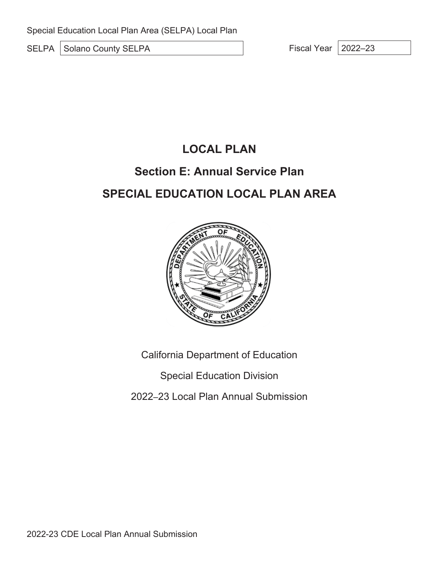SELPA Solano County SELPA Fiscal Year 2022–23

# **LOCAL PLAN**

# **Section E: Annual Service Plan**

# **SPECIAL EDUCATION LOCAL PLAN AREA**



California Department of Education

Special Education Division

2022–23 Local Plan Annual Submission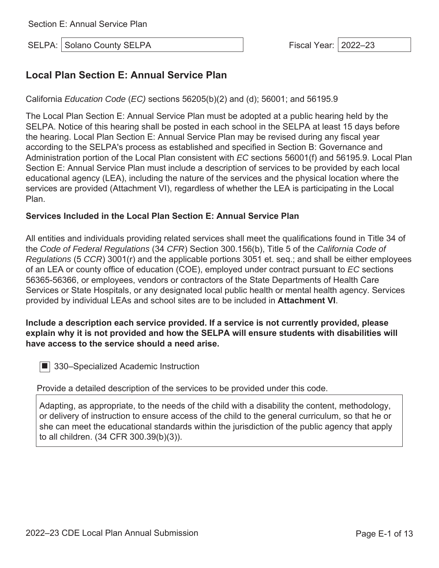SELPA: Solano County SELPA Fiscal Year: 2022–23

## **Local Plan Section E: Annual Service Plan**

California *Education Code* (*EC)* sections 56205(b)(2) and (d); 56001; and 56195.9

The Local Plan Section E: Annual Service Plan must be adopted at a public hearing held by the SELPA. Notice of this hearing shall be posted in each school in the SELPA at least 15 days before the hearing. Local Plan Section E: Annual Service Plan may be revised during any fiscal year according to the SELPA's process as established and specified in Section B: Governance and Administration portion of the Local Plan consistent with *EC* sections 56001(f) and 56195.9. Local Plan Section E: Annual Service Plan must include a description of services to be provided by each local educational agency (LEA), including the nature of the services and the physical location where the services are provided (Attachment VI), regardless of whether the LEA is participating in the Local Plan.

#### **Services Included in the Local Plan Section E: Annual Service Plan**

All entities and individuals providing related services shall meet the qualifications found in Title 34 of the *Code of Federal Regulations* (34 *CFR*) Section 300.156(b), Title 5 of the *California Code of Regulations* (5 *CCR*) 3001(r) and the applicable portions 3051 et. seq.; and shall be either employees of an LEA or county office of education (COE), employed under contract pursuant to *EC* sections 56365-56366, or employees, vendors or contractors of the State Departments of Health Care Services or State Hospitals, or any designated local public health or mental health agency. Services provided by individual LEAs and school sites are to be included in **Attachment VI**.

### **Include a description each service provided. If a service is not currently provided, please explain why it is not provided and how the SELPA will ensure students with disabilities will have access to the service should a need arise.**

■ 330–Specialized Academic Instruction

Provide a detailed description of the services to be provided under this code.

Adapting, as appropriate, to the needs of the child with a disability the content, methodology, or delivery of instruction to ensure access of the child to the general curriculum, so that he or she can meet the educational standards within the jurisdiction of the public agency that apply to all children. (34 CFR 300.39(b)(3)).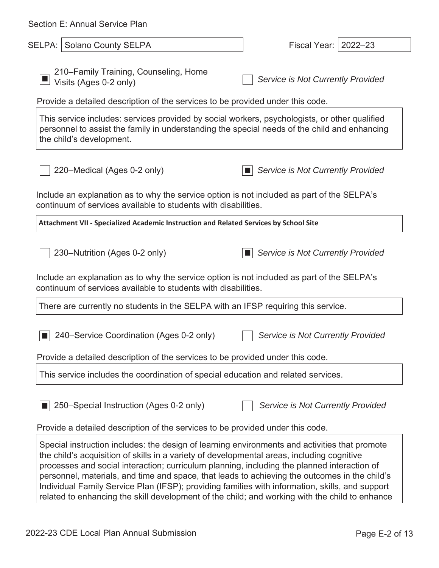| Section E: Annual Service Plan                                                                                                                                                                                                                                                                                                                                                                                                                                                                                                                                                                   |                                          |
|--------------------------------------------------------------------------------------------------------------------------------------------------------------------------------------------------------------------------------------------------------------------------------------------------------------------------------------------------------------------------------------------------------------------------------------------------------------------------------------------------------------------------------------------------------------------------------------------------|------------------------------------------|
| <b>Solano County SELPA</b><br>SELPA:                                                                                                                                                                                                                                                                                                                                                                                                                                                                                                                                                             | $2022 - 23$<br>Fiscal Year:              |
| 210–Family Training, Counseling, Home<br>Visits (Ages 0-2 only)                                                                                                                                                                                                                                                                                                                                                                                                                                                                                                                                  | Service is Not Currently Provided        |
| Provide a detailed description of the services to be provided under this code.                                                                                                                                                                                                                                                                                                                                                                                                                                                                                                                   |                                          |
| This service includes: services provided by social workers, psychologists, or other qualified<br>personnel to assist the family in understanding the special needs of the child and enhancing<br>the child's development.                                                                                                                                                                                                                                                                                                                                                                        |                                          |
| 220–Medical (Ages 0-2 only)                                                                                                                                                                                                                                                                                                                                                                                                                                                                                                                                                                      | Service is Not Currently Provided        |
| Include an explanation as to why the service option is not included as part of the SELPA's<br>continuum of services available to students with disabilities.                                                                                                                                                                                                                                                                                                                                                                                                                                     |                                          |
| Attachment VII - Specialized Academic Instruction and Related Services by School Site                                                                                                                                                                                                                                                                                                                                                                                                                                                                                                            |                                          |
| 230–Nutrition (Ages 0-2 only)                                                                                                                                                                                                                                                                                                                                                                                                                                                                                                                                                                    | <b>Service is Not Currently Provided</b> |
| Include an explanation as to why the service option is not included as part of the SELPA's<br>continuum of services available to students with disabilities.                                                                                                                                                                                                                                                                                                                                                                                                                                     |                                          |
| There are currently no students in the SELPA with an IFSP requiring this service.                                                                                                                                                                                                                                                                                                                                                                                                                                                                                                                |                                          |
| 240–Service Coordination (Ages 0-2 only)                                                                                                                                                                                                                                                                                                                                                                                                                                                                                                                                                         | Service is Not Currently Provided        |
| Provide a detailed description of the services to be provided under this code.                                                                                                                                                                                                                                                                                                                                                                                                                                                                                                                   |                                          |
| This service includes the coordination of special education and related services.                                                                                                                                                                                                                                                                                                                                                                                                                                                                                                                |                                          |
| 250–Special Instruction (Ages 0-2 only)                                                                                                                                                                                                                                                                                                                                                                                                                                                                                                                                                          | Service is Not Currently Provided        |
| Provide a detailed description of the services to be provided under this code.                                                                                                                                                                                                                                                                                                                                                                                                                                                                                                                   |                                          |
| Special instruction includes: the design of learning environments and activities that promote<br>the child's acquisition of skills in a variety of developmental areas, including cognitive<br>processes and social interaction; curriculum planning, including the planned interaction of<br>personnel, materials, and time and space, that leads to achieving the outcomes in the child's<br>Individual Family Service Plan (IFSP); providing families with information, skills, and support<br>related to enhancing the skill development of the child; and working with the child to enhance |                                          |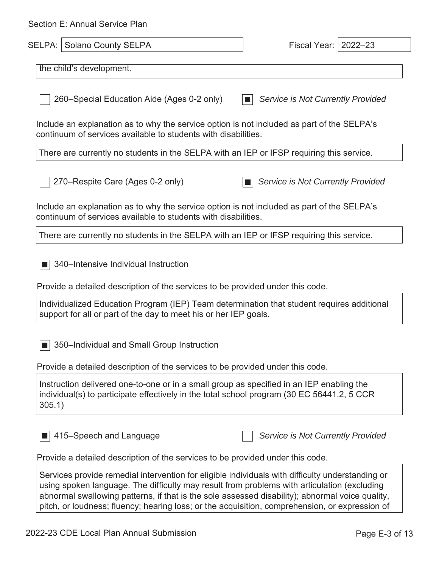| Section E: Annual Service Plan                                                                                                                                                                                                                                                                     |                                   |
|----------------------------------------------------------------------------------------------------------------------------------------------------------------------------------------------------------------------------------------------------------------------------------------------------|-----------------------------------|
| <b>SELPA: Solano County SELPA</b>                                                                                                                                                                                                                                                                  | Fiscal Year:  <br>$2022 - 23$     |
| the child's development.                                                                                                                                                                                                                                                                           |                                   |
| 260–Special Education Aide (Ages 0-2 only)                                                                                                                                                                                                                                                         | Service is Not Currently Provided |
| Include an explanation as to why the service option is not included as part of the SELPA's<br>continuum of services available to students with disabilities.                                                                                                                                       |                                   |
| There are currently no students in the SELPA with an IEP or IFSP requiring this service.                                                                                                                                                                                                           |                                   |
| 270–Respite Care (Ages 0-2 only)                                                                                                                                                                                                                                                                   | Service is Not Currently Provided |
| Include an explanation as to why the service option is not included as part of the SELPA's<br>continuum of services available to students with disabilities.                                                                                                                                       |                                   |
| There are currently no students in the SELPA with an IEP or IFSP requiring this service.                                                                                                                                                                                                           |                                   |
| 340–Intensive Individual Instruction<br>Provide a detailed description of the services to be provided under this code.                                                                                                                                                                             |                                   |
| Individualized Education Program (IEP) Team determination that student requires additional<br>support for all or part of the day to meet his or her IEP goals.                                                                                                                                     |                                   |
| 350-Individual and Small Group Instruction                                                                                                                                                                                                                                                         |                                   |
| Provide a detailed description of the services to be provided under this code.                                                                                                                                                                                                                     |                                   |
| Instruction delivered one-to-one or in a small group as specified in an IEP enabling the<br>individual(s) to participate effectively in the total school program (30 EC 56441.2, 5 CCR<br>305.1)                                                                                                   |                                   |
| 415–Speech and Language                                                                                                                                                                                                                                                                            | Service is Not Currently Provided |
| Provide a detailed description of the services to be provided under this code.                                                                                                                                                                                                                     |                                   |
| Services provide remedial intervention for eligible individuals with difficulty understanding or<br>using spoken language. The difficulty may result from problems with articulation (excluding<br>abnormal swallowing patterns, if that is the sole assessed disability); abnormal voice quality, |                                   |

pitch, or loudness; fluency; hearing loss; or the acquisition, comprehension, or expression of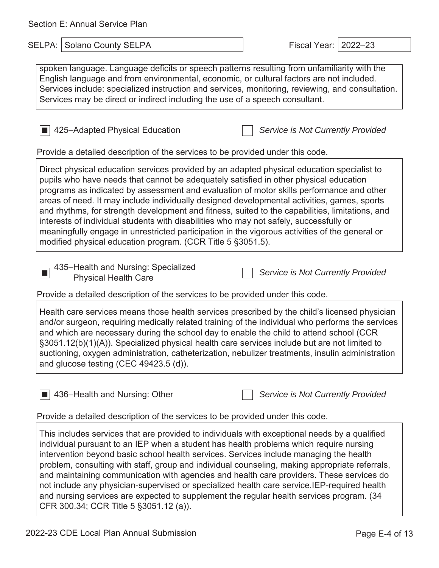| Section E: Annual Service Plan |  |  |  |  |
|--------------------------------|--|--|--|--|
|--------------------------------|--|--|--|--|

| Section E: Annual Service Plan                                                                                                                                                                                                                                                                                                                                                                                                                                                                                                                                                                                                                                                                                                               |                                    |
|----------------------------------------------------------------------------------------------------------------------------------------------------------------------------------------------------------------------------------------------------------------------------------------------------------------------------------------------------------------------------------------------------------------------------------------------------------------------------------------------------------------------------------------------------------------------------------------------------------------------------------------------------------------------------------------------------------------------------------------------|------------------------------------|
| SELPA:<br>Solano County SELPA                                                                                                                                                                                                                                                                                                                                                                                                                                                                                                                                                                                                                                                                                                                | <b>Fiscal Year:</b><br>$2022 - 23$ |
| spoken language. Language deficits or speech patterns resulting from unfamiliarity with the<br>English language and from environmental, economic, or cultural factors are not included.<br>Services include: specialized instruction and services, monitoring, reviewing, and consultation.<br>Services may be direct or indirect including the use of a speech consultant.                                                                                                                                                                                                                                                                                                                                                                  |                                    |
| 425-Adapted Physical Education<br>Provide a detailed description of the services to be provided under this code.                                                                                                                                                                                                                                                                                                                                                                                                                                                                                                                                                                                                                             | Service is Not Currently Provided  |
| Direct physical education services provided by an adapted physical education specialist to<br>pupils who have needs that cannot be adequately satisfied in other physical education<br>programs as indicated by assessment and evaluation of motor skills performance and other<br>areas of need. It may include individually designed developmental activities, games, sports<br>and rhythms, for strength development and fitness, suited to the capabilities, limitations, and<br>interests of individual students with disabilities who may not safely, successfully or<br>meaningfully engage in unrestricted participation in the vigorous activities of the general or<br>modified physical education program. (CCR Title 5 §3051.5). |                                    |
| 435-Health and Nursing: Specialized<br><b>Physical Health Care</b><br>Provide a detailed description of the services to be provided under this code.                                                                                                                                                                                                                                                                                                                                                                                                                                                                                                                                                                                         | Service is Not Currently Provided  |
| Health care services means those health services prescribed by the child's licensed physician<br>and/or surgeon, requiring medically related training of the individual who performs the services<br>and which are necessary during the school day to enable the child to attend school (CCR<br>§3051.12(b)(1)(A)). Specialized physical health care services include but are not limited to<br>suctioning, oxygen administration, catheterization, nebulizer treatments, insulin administration<br>and glucose testing (CEC 49423.5 (d)).                                                                                                                                                                                                   |                                    |
| 436-Health and Nursing: Other<br>Provide a detailed description of the services to be provided under this code.                                                                                                                                                                                                                                                                                                                                                                                                                                                                                                                                                                                                                              | Service is Not Currently Provided  |
| This includes services that are provided to individuals with exceptional needs by a qualified<br>individual pursuant to an IEP when a student has health problems which require nursing<br>intervention beyond basic school health services. Services include managing the health<br>problem, consulting with staff, group and individual counseling, making appropriate referrals,<br>and maintaining communication with agencies and health care providers. These services do<br>not include any physician-supervised or specialized health care service.IEP-required health                                                                                                                                                               |                                    |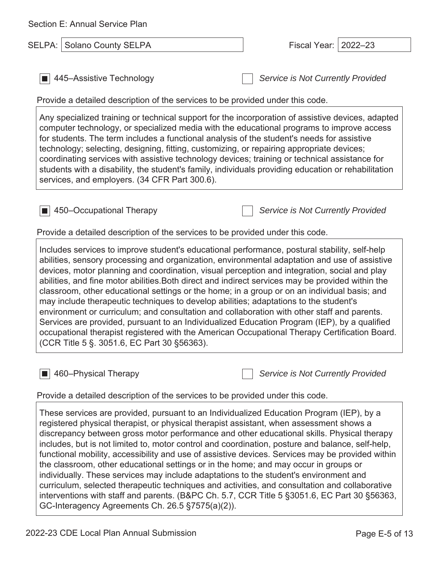| Section E: Annual Service Plan                                                                                                                                                                                                                                                                                                                                                                                                                                                                                                                                                                                                                                                                                                                                                                                                                                                                                                               |                                    |
|----------------------------------------------------------------------------------------------------------------------------------------------------------------------------------------------------------------------------------------------------------------------------------------------------------------------------------------------------------------------------------------------------------------------------------------------------------------------------------------------------------------------------------------------------------------------------------------------------------------------------------------------------------------------------------------------------------------------------------------------------------------------------------------------------------------------------------------------------------------------------------------------------------------------------------------------|------------------------------------|
| SELPA: Solano County SELPA                                                                                                                                                                                                                                                                                                                                                                                                                                                                                                                                                                                                                                                                                                                                                                                                                                                                                                                   | <b>Fiscal Year:</b><br>$2022 - 23$ |
| 445–Assistive Technology<br>Provide a detailed description of the services to be provided under this code.                                                                                                                                                                                                                                                                                                                                                                                                                                                                                                                                                                                                                                                                                                                                                                                                                                   | Service is Not Currently Provided  |
| Any specialized training or technical support for the incorporation of assistive devices, adapted<br>computer technology, or specialized media with the educational programs to improve access<br>for students. The term includes a functional analysis of the student's needs for assistive<br>technology; selecting, designing, fitting, customizing, or repairing appropriate devices;<br>coordinating services with assistive technology devices; training or technical assistance for<br>students with a disability, the student's family, individuals providing education or rehabilitation<br>services, and employers. (34 CFR Part 300.6).                                                                                                                                                                                                                                                                                           |                                    |
| $\blacksquare$ 450–Occupational Therapy<br>Provide a detailed description of the services to be provided under this code.                                                                                                                                                                                                                                                                                                                                                                                                                                                                                                                                                                                                                                                                                                                                                                                                                    | Service is Not Currently Provided  |
| Includes services to improve student's educational performance, postural stability, self-help<br>abilities, sensory processing and organization, environmental adaptation and use of assistive<br>devices, motor planning and coordination, visual perception and integration, social and play<br>abilities, and fine motor abilities. Both direct and indirect services may be provided within the<br>classroom, other educational settings or the home; in a group or on an individual basis; and<br>may include therapeutic techniques to develop abilities; adaptations to the student's<br>environment or curriculum; and consultation and collaboration with other staff and parents.<br>Services are provided, pursuant to an Individualized Education Program (IEP), by a qualified<br>occupational therapist registered with the American Occupational Therapy Certification Board.<br>(CCR Title 5 §. 3051.6, EC Part 30 § 56363). |                                    |
| 460-Physical Therapy<br>Provide a detailed description of the services to be provided under this code.                                                                                                                                                                                                                                                                                                                                                                                                                                                                                                                                                                                                                                                                                                                                                                                                                                       | Service is Not Currently Provided  |
| These services are provided, pursuant to an Individualized Education Program (IEP), by a<br>registered physical therapist, or physical therapist assistant, when assessment shows a<br>discrepancy between gross motor performance and other educational skills. Physical therapy<br>includes, but is not limited to, motor control and coordination, posture and balance, self-help,<br>functional mobility, accessibility and use of assistive devices. Services may be provided within<br>the classroom, other educational settings or in the home; and may occur in groups or<br>individually. These services may include adaptations to the student's environment and                                                                                                                                                                                                                                                                   |                                    |

curriculum, selected therapeutic techniques and activities, and consultation and collaborative interventions with staff and parents. (B&PC Ch. 5.7, CCR Title 5 §3051.6, EC Part 30 §56363, GC-Interagency Agreements Ch. 26.5 §7575(a)(2)).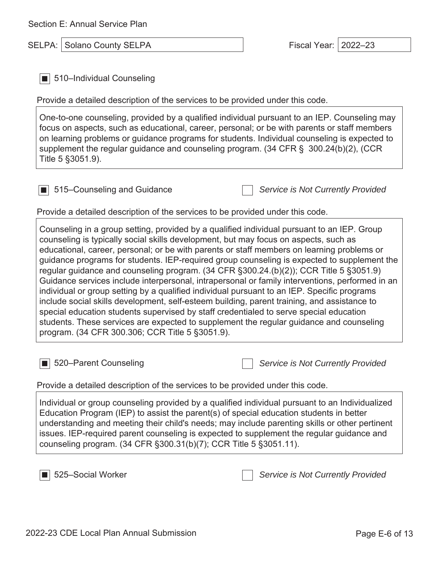SELPA: Solano County SELPA Fiscal Year: 2022–23

■ 510–Individual Counseling

Provide a detailed description of the services to be provided under this code.

One-to-one counseling, provided by a qualified individual pursuant to an IEP. Counseling may focus on aspects, such as educational, career, personal; or be with parents or staff members on learning problems or guidance programs for students. Individual counseling is expected to supplement the regular guidance and counseling program. (34 CFR § 300.24(b)(2), (CCR Title 5 §3051.9).

■ 515–Counseling and Guidance *Service is Not Currently Provided*

Provide a detailed description of the services to be provided under this code.

Counseling in a group setting, provided by a qualified individual pursuant to an IEP. Group counseling is typically social skills development, but may focus on aspects, such as educational, career, personal; or be with parents or staff members on learning problems or guidance programs for students. IEP-required group counseling is expected to supplement the regular guidance and counseling program. (34 CFR §300.24.(b)(2)); CCR Title 5 §3051.9) Guidance services include interpersonal, intrapersonal or family interventions, performed in an individual or group setting by a qualified individual pursuant to an IEP. Specific programs include social skills development, self-esteem building, parent training, and assistance to special education students supervised by staff credentialed to serve special education students. These services are expected to supplement the regular guidance and counseling program. (34 CFR 300.306; CCR Title 5 §3051.9).

■ 520–Parent Counseling *Service is Not Currently Provided*

Provide a detailed description of the services to be provided under this code.

Individual or group counseling provided by a qualified individual pursuant to an Individualized Education Program (IEP) to assist the parent(s) of special education students in better understanding and meeting their child's needs; may include parenting skills or other pertinent issues. IEP-required parent counseling is expected to supplement the regular guidance and counseling program. (34 CFR §300.31(b)(7); CCR Title 5 §3051.11).

■ 525–Social Worker *Service is Not Currently Provided*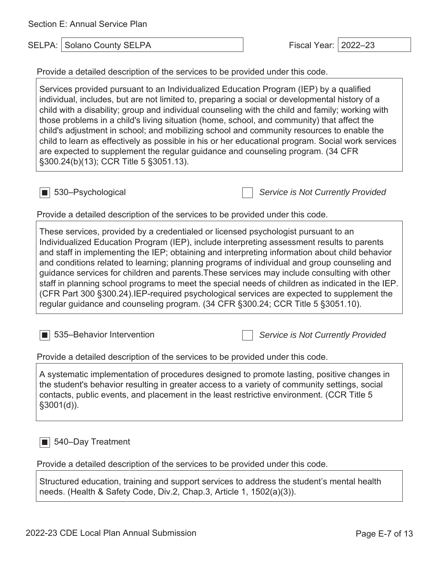Section E: Annual Service Plan

SELPA: Solano County SELPA Fiscal Year: 2022–23

Provide a detailed description of the services to be provided under this code.

Services provided pursuant to an Individualized Education Program (IEP) by a qualified individual, includes, but are not limited to, preparing a social or developmental history of a child with a disability; group and individual counseling with the child and family; working with those problems in a child's living situation (home, school, and community) that affect the child's adjustment in school; and mobilizing school and community resources to enable the child to learn as effectively as possible in his or her educational program. Social work services are expected to supplement the regular guidance and counseling program. (34 CFR §300.24(b)(13); CCR Title 5 §3051.13).

■ 530–Psychological *Service is Not Currently Provided*

Provide a detailed description of the services to be provided under this code.

These services, provided by a credentialed or licensed psychologist pursuant to an Individualized Education Program (IEP), include interpreting assessment results to parents and staff in implementing the IEP; obtaining and interpreting information about child behavior and conditions related to learning; planning programs of individual and group counseling and guidance services for children and parents.These services may include consulting with other staff in planning school programs to meet the special needs of children as indicated in the IEP. (CFR Part 300 §300.24).IEP-required psychological services are expected to supplement the regular guidance and counseling program. (34 CFR §300.24; CCR Title 5 §3051.10).

■ 535–Behavior Intervention *Service is Not Currently Provided*

Provide a detailed description of the services to be provided under this code.

A systematic implementation of procedures designed to promote lasting, positive changes in the student's behavior resulting in greater access to a variety of community settings, social contacts, public events, and placement in the least restrictive environment. (CCR Title 5  $§3001(d)$ ).

■ 540–Day Treatment

Provide a detailed description of the services to be provided under this code.

Structured education, training and support services to address the student's mental health needs. (Health & Safety Code, Div.2, Chap.3, Article 1, 1502(a)(3)).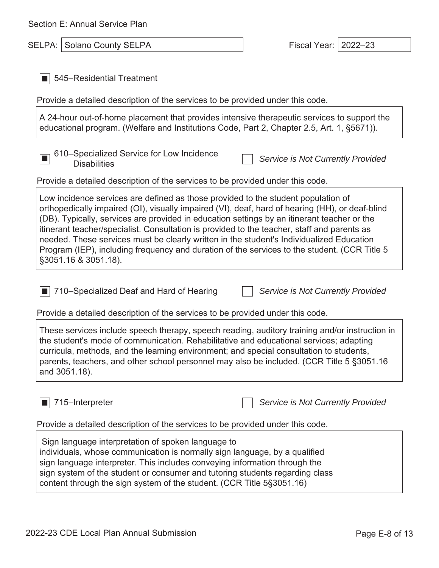| Section E: Annual Service Plan |  |  |  |  |
|--------------------------------|--|--|--|--|
|--------------------------------|--|--|--|--|

| Section E: Annual Service Plan                                                                                                                                                                                                                                                                                                                                                                                                                                                                                    |                                    |
|-------------------------------------------------------------------------------------------------------------------------------------------------------------------------------------------------------------------------------------------------------------------------------------------------------------------------------------------------------------------------------------------------------------------------------------------------------------------------------------------------------------------|------------------------------------|
| SELPA: Solano County SELPA                                                                                                                                                                                                                                                                                                                                                                                                                                                                                        | <b>Fiscal Year:</b><br>$2022 - 23$ |
| 545–Residential Treatment                                                                                                                                                                                                                                                                                                                                                                                                                                                                                         |                                    |
| Provide a detailed description of the services to be provided under this code.                                                                                                                                                                                                                                                                                                                                                                                                                                    |                                    |
| A 24-hour out-of-home placement that provides intensive therapeutic services to support the<br>educational program. (Welfare and Institutions Code, Part 2, Chapter 2.5, Art. 1, §5671)).                                                                                                                                                                                                                                                                                                                         |                                    |
| 610–Specialized Service for Low Incidence<br><b>Disabilities</b>                                                                                                                                                                                                                                                                                                                                                                                                                                                  | Service is Not Currently Provided  |
| Provide a detailed description of the services to be provided under this code.                                                                                                                                                                                                                                                                                                                                                                                                                                    |                                    |
| orthopedically impaired (OI), visually impaired (VI), deaf, hard of hearing (HH), or deaf-blind<br>(DB). Typically, services are provided in education settings by an itinerant teacher or the<br>itinerant teacher/specialist. Consultation is provided to the teacher, staff and parents as<br>needed. These services must be clearly written in the student's Individualized Education<br>Program (IEP), including frequency and duration of the services to the student. (CCR Title 5<br>§3051.16 & 3051.18). |                                    |
| 710–Specialized Deaf and Hard of Hearing                                                                                                                                                                                                                                                                                                                                                                                                                                                                          | Service is Not Currently Provided  |
| Provide a detailed description of the services to be provided under this code.                                                                                                                                                                                                                                                                                                                                                                                                                                    |                                    |
| These services include speech therapy, speech reading, auditory training and/or instruction in<br>the student's mode of communication. Rehabilitative and educational services; adapting<br>curricula, methods, and the learning environment; and special consultation to students,<br>parents, teachers, and other school personnel may also be included. (CCR Title 5 §3051.16<br>and 3051.18).                                                                                                                 |                                    |
| 715-Interpreter                                                                                                                                                                                                                                                                                                                                                                                                                                                                                                   | Service is Not Currently Provided  |
| Provide a detailed description of the services to be provided under this code.                                                                                                                                                                                                                                                                                                                                                                                                                                    |                                    |
|                                                                                                                                                                                                                                                                                                                                                                                                                                                                                                                   |                                    |

 Sign language interpretation of spoken language to individuals, whose communication is normally sign language, by a qualified sign language interpreter. This includes conveying information through the sign system of the student or consumer and tutoring students regarding class content through the sign system of the student. (CCR Title 5§3051.16)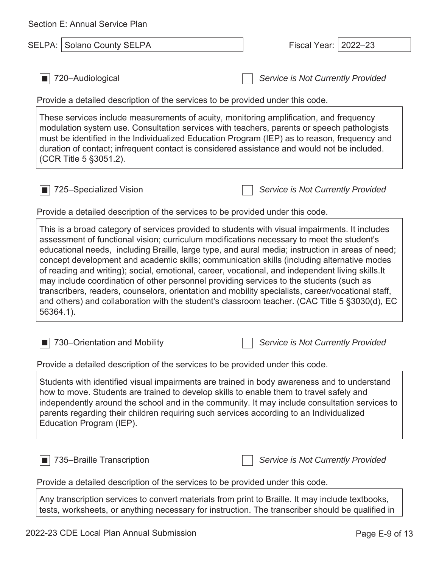| Section E: Annual Service Plan                                                                                                                                                                                                                                                                                                                                                                                                                                                                                                                                                                                                                                                                                                                                                                                   |                                   |
|------------------------------------------------------------------------------------------------------------------------------------------------------------------------------------------------------------------------------------------------------------------------------------------------------------------------------------------------------------------------------------------------------------------------------------------------------------------------------------------------------------------------------------------------------------------------------------------------------------------------------------------------------------------------------------------------------------------------------------------------------------------------------------------------------------------|-----------------------------------|
| <b>Solano County SELPA</b><br>SELPA:                                                                                                                                                                                                                                                                                                                                                                                                                                                                                                                                                                                                                                                                                                                                                                             | $2022 - 23$<br>Fiscal Year:       |
| 720-Audiological<br>Provide a detailed description of the services to be provided under this code.                                                                                                                                                                                                                                                                                                                                                                                                                                                                                                                                                                                                                                                                                                               | Service is Not Currently Provided |
| These services include measurements of acuity, monitoring amplification, and frequency<br>modulation system use. Consultation services with teachers, parents or speech pathologists<br>must be identified in the Individualized Education Program (IEP) as to reason, frequency and<br>duration of contact; infrequent contact is considered assistance and would not be included.<br>(CCR Title 5 § 3051.2).                                                                                                                                                                                                                                                                                                                                                                                                   |                                   |
| 725-Specialized Vision                                                                                                                                                                                                                                                                                                                                                                                                                                                                                                                                                                                                                                                                                                                                                                                           | Service is Not Currently Provided |
| Provide a detailed description of the services to be provided under this code.                                                                                                                                                                                                                                                                                                                                                                                                                                                                                                                                                                                                                                                                                                                                   |                                   |
| This is a broad category of services provided to students with visual impairments. It includes<br>assessment of functional vision; curriculum modifications necessary to meet the student's<br>educational needs, including Braille, large type, and aural media; instruction in areas of need;<br>concept development and academic skills; communication skills (including alternative modes<br>of reading and writing); social, emotional, career, vocational, and independent living skills. It<br>may include coordination of other personnel providing services to the students (such as<br>transcribers, readers, counselors, orientation and mobility specialists, career/vocational staff,<br>and others) and collaboration with the student's classroom teacher. (CAC Title 5 §3030(d), EC<br>56364.1). |                                   |
| ■ 730–Orientation and Mobility<br>Provide a detailed description of the services to be provided under this code.                                                                                                                                                                                                                                                                                                                                                                                                                                                                                                                                                                                                                                                                                                 | Service is Not Currently Provided |
| Students with identified visual impairments are trained in body awareness and to understand<br>how to move. Students are trained to develop skills to enable them to travel safely and<br>independently around the school and in the community. It may include consultation services to<br>parents regarding their children requiring such services according to an Individualized<br>Education Program (IEP).                                                                                                                                                                                                                                                                                                                                                                                                   |                                   |
| 735-Braille Transcription                                                                                                                                                                                                                                                                                                                                                                                                                                                                                                                                                                                                                                                                                                                                                                                        | Service is Not Currently Provided |
| Provide a detailed description of the services to be provided under this code.<br>Any transcription services to convert materials from print to Braille. It may include textbooks,<br>tests, worksheets, or anything necessary for instruction. The transcriber should be qualified in                                                                                                                                                                                                                                                                                                                                                                                                                                                                                                                           |                                   |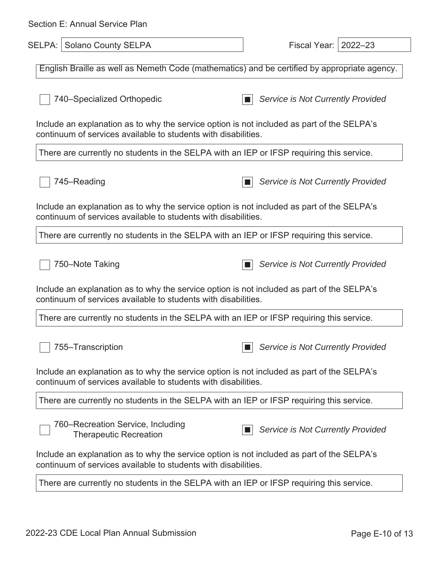| Section E: Annual Service Plan                                                                                                                               |                                          |  |  |
|--------------------------------------------------------------------------------------------------------------------------------------------------------------|------------------------------------------|--|--|
| <b>SELPA: Solano County SELPA</b>                                                                                                                            | Fiscal Year:  <br>$2022 - 23$            |  |  |
| English Braille as well as Nemeth Code (mathematics) and be certified by appropriate agency.                                                                 |                                          |  |  |
| 740–Specialized Orthopedic                                                                                                                                   | Service is Not Currently Provided        |  |  |
| Include an explanation as to why the service option is not included as part of the SELPA's<br>continuum of services available to students with disabilities. |                                          |  |  |
| There are currently no students in the SELPA with an IEP or IFSP requiring this service.                                                                     |                                          |  |  |
| 745–Reading                                                                                                                                                  | <b>Service is Not Currently Provided</b> |  |  |
| Include an explanation as to why the service option is not included as part of the SELPA's<br>continuum of services available to students with disabilities. |                                          |  |  |
| There are currently no students in the SELPA with an IEP or IFSP requiring this service.                                                                     |                                          |  |  |
| 750-Note Taking                                                                                                                                              | Service is Not Currently Provided        |  |  |
| Include an explanation as to why the service option is not included as part of the SELPA's<br>continuum of services available to students with disabilities. |                                          |  |  |
| There are currently no students in the SELPA with an IEP or IFSP requiring this service.                                                                     |                                          |  |  |
| 755-Transcription                                                                                                                                            | Service is Not Currently Provided        |  |  |
| Include an explanation as to why the service option is not included as part of the SELPA's<br>continuum of services available to students with disabilities. |                                          |  |  |
| There are currently no students in the SELPA with an IEP or IFSP requiring this service.                                                                     |                                          |  |  |
| 760–Recreation Service, Including<br><b>Therapeutic Recreation</b>                                                                                           | Service is Not Currently Provided        |  |  |
| Include an explanation as to why the service option is not included as part of the SELPA's<br>continuum of services available to students with disabilities. |                                          |  |  |
| There are currently no students in the SELPA with an IEP or IFSP requiring this service.                                                                     |                                          |  |  |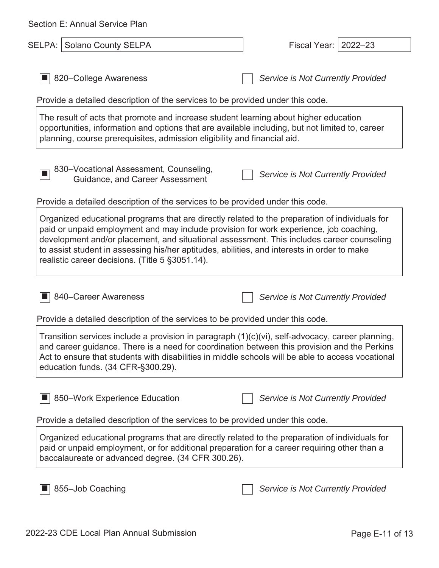| Section E: Annual Service Plan                                                                                                                                                                                                                                                                                                                                                                                                          |                                   |  |  |
|-----------------------------------------------------------------------------------------------------------------------------------------------------------------------------------------------------------------------------------------------------------------------------------------------------------------------------------------------------------------------------------------------------------------------------------------|-----------------------------------|--|--|
| SELPA: Solano County SELPA                                                                                                                                                                                                                                                                                                                                                                                                              | Fiscal Year:<br>$2022 - 23$       |  |  |
| 820–College Awareness                                                                                                                                                                                                                                                                                                                                                                                                                   | Service is Not Currently Provided |  |  |
| Provide a detailed description of the services to be provided under this code.                                                                                                                                                                                                                                                                                                                                                          |                                   |  |  |
| The result of acts that promote and increase student learning about higher education<br>opportunities, information and options that are available including, but not limited to, career<br>planning, course prerequisites, admission eligibility and financial aid.                                                                                                                                                                     |                                   |  |  |
| 830-Vocational Assessment, Counseling,<br>Guidance, and Career Assessment                                                                                                                                                                                                                                                                                                                                                               | Service is Not Currently Provided |  |  |
| Provide a detailed description of the services to be provided under this code.                                                                                                                                                                                                                                                                                                                                                          |                                   |  |  |
| Organized educational programs that are directly related to the preparation of individuals for<br>paid or unpaid employment and may include provision for work experience, job coaching,<br>development and/or placement, and situational assessment. This includes career counseling<br>to assist student in assessing his/her aptitudes, abilities, and interests in order to make<br>realistic career decisions. (Title 5 §3051.14). |                                   |  |  |
| 840–Career Awareness                                                                                                                                                                                                                                                                                                                                                                                                                    | Service is Not Currently Provided |  |  |
| Provide a detailed description of the services to be provided under this code.                                                                                                                                                                                                                                                                                                                                                          |                                   |  |  |
| Transition services include a provision in paragraph (1)(c)(vi), self-advocacy, career planning,<br>and career guidance. There is a need for coordination between this provision and the Perkins<br>Act to ensure that students with disabilities in middle schools will be able to access vocational<br>education funds. (34 CFR-§300.29).                                                                                             |                                   |  |  |
| 850–Work Experience Education                                                                                                                                                                                                                                                                                                                                                                                                           | Service is Not Currently Provided |  |  |
| Provide a detailed description of the services to be provided under this code.                                                                                                                                                                                                                                                                                                                                                          |                                   |  |  |
| Organized educational programs that are directly related to the preparation of individuals for<br>paid or unpaid employment, or for additional preparation for a career requiring other than a<br>baccalaureate or advanced degree. (34 CFR 300.26).                                                                                                                                                                                    |                                   |  |  |
| 855-Job Coaching                                                                                                                                                                                                                                                                                                                                                                                                                        | Service is Not Currently Provided |  |  |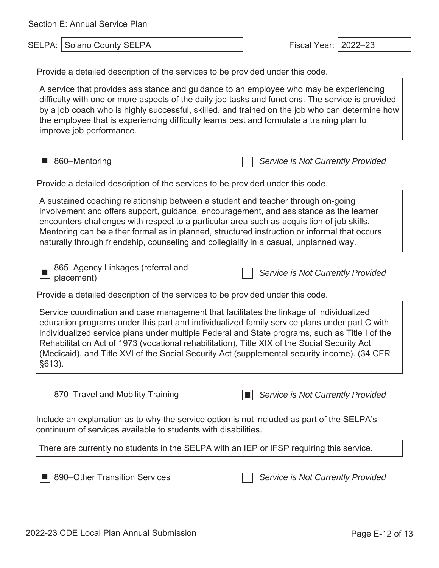Section E: Annual Service Plan

SELPA: Solano County SELPA Fiscal Year: 2022–23

Provide a detailed description of the services to be provided under this code.

A service that provides assistance and guidance to an employee who may be experiencing difficulty with one or more aspects of the daily job tasks and functions. The service is provided by a job coach who is highly successful, skilled, and trained on the job who can determine how the employee that is experiencing difficulty learns best and formulate a training plan to improve job performance.

■ 860–Mentoring *Service is Not Currently Provided*

Provide a detailed description of the services to be provided under this code.

A sustained coaching relationship between a student and teacher through on-going involvement and offers support, guidance, encouragement, and assistance as the learner encounters challenges with respect to a particular area such as acquisition of job skills. Mentoring can be either formal as in planned, structured instruction or informal that occurs naturally through friendship, counseling and collegiality in a casual, unplanned way.

865–Agency Linkages (referral and placement) and *Placement* **and** *Placement* **and** *Placement Placement* 

Provide a detailed description of the services to be provided under this code.

Service coordination and case management that facilitates the linkage of individualized education programs under this part and individualized family service plans under part C with individualized service plans under multiple Federal and State programs, such as Title I of the Rehabilitation Act of 1973 (vocational rehabilitation), Title XIX of the Social Security Act (Medicaid), and Title XVI of the Social Security Act (supplemental security income). (34 CFR §613).

870–Travel and Mobility Training ■ *Service is Not Currently Provided*

Include an explanation as to why the service option is not included as part of the SELPA's continuum of services available to students with disabilities.

There are currently no students in the SELPA with an IEP or IFSP requiring this service.

■ 890–Other Transition Services **Service is Not Currently Provided**